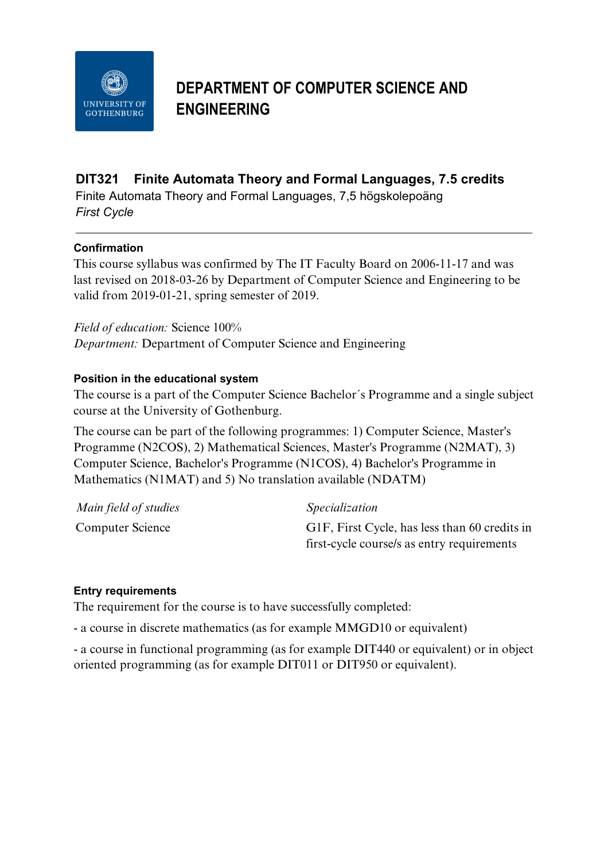

# **DEPARTMENT OF COMPUTER SCIENCE AND ENGINEERING**

## **DIT321 Finite Automata Theory and Formal Languages, 7.5 credits**

Finite Automata Theory and Formal Languages, 7,5 högskolepoäng *First Cycle*

## **Confirmation**

This course syllabus was confirmed by The IT Faculty Board on 2006-11-17 and was last revised on 2018-03-26 by Department of Computer Science and Engineering to be valid from 2019-01-21, spring semester of 2019.

*Field of education:* Science 100% *Department:* Department of Computer Science and Engineering

## **Position in the educational system**

The course is a part of the Computer Science Bachelor´s Programme and a single subject course at the University of Gothenburg.

The course can be part of the following programmes: 1) Computer Science, Master's Programme (N2COS), 2) Mathematical Sciences, Master's Programme (N2MAT), 3) Computer Science, Bachelor's Programme (N1COS), 4) Bachelor's Programme in Mathematics (N1MAT) and 5) No translation available (NDATM)

| Main field of studies | <i>Specialization</i>                         |
|-----------------------|-----------------------------------------------|
| Computer Science      | G1F, First Cycle, has less than 60 credits in |
|                       | first-cycle course/s as entry requirements    |

## **Entry requirements**

The requirement for the course is to have successfully completed:

- a course in discrete mathematics (as for example MMGD10 or equivalent)

- a course in functional programming (as for example DIT440 or equivalent) or in object oriented programming (as for example DIT011 or DIT950 or equivalent).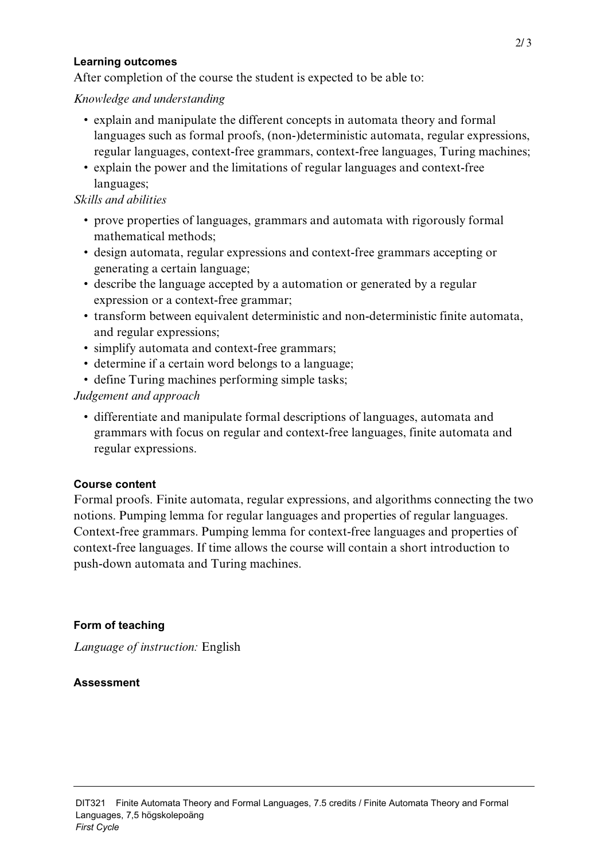#### **Learning outcomes**

After completion of the course the student is expected to be able to:

## *Knowledge and understanding*

- explain and manipulate the different concepts in automata theory and formal languages such as formal proofs, (non-)deterministic automata, regular expressions, regular languages, context-free grammars, context-free languages, Turing machines;
- explain the power and the limitations of regular languages and context-free languages;

## *Skills and abilities*

- prove properties of languages, grammars and automata with rigorously formal mathematical methods;
- design automata, regular expressions and context-free grammars accepting or generating a certain language;
- describe the language accepted by a automation or generated by a regular expression or a context-free grammar;
- transform between equivalent deterministic and non-deterministic finite automata, and regular expressions;
- simplify automata and context-free grammars;
- determine if a certain word belongs to a language;
- define Turing machines performing simple tasks;

## *Judgement and approach*

• differentiate and manipulate formal descriptions of languages, automata and grammars with focus on regular and context-free languages, finite automata and regular expressions.

## **Course content**

Formal proofs. Finite automata, regular expressions, and algorithms connecting the two notions. Pumping lemma for regular languages and properties of regular languages. Context-free grammars. Pumping lemma for context-free languages and properties of context-free languages. If time allows the course will contain a short introduction to push-down automata and Turing machines.

## **Form of teaching**

*Language of instruction:* English

## **Assessment**